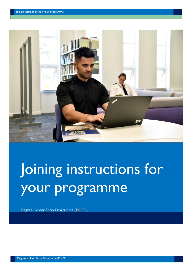

# Joining instructions for your programme

Degree Holder Entry Programme (DHEP)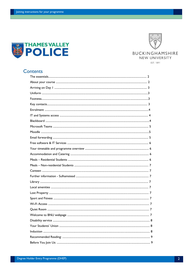



# **Contents**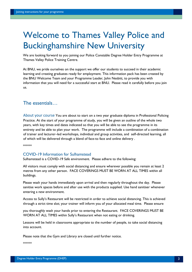# Welcome to Thames Valley Police and Buckinghamshire New University

We are looking forward to you joining our Police Constable Degree Holder Entry Programme at Thames Valley Police Training Centre.

At BNU, we pride ourselves on the support we offer our students to succeed in their academic learning and creating graduates ready for employment. This information pack has been created by the BNU Welcome Team and your Programme Leader, John Nesbitt, to provide you with information that you will need for a successful start at BNU. Please read it carefully before you join us.

# The essentials…

About your course You are about to start on a two year graduate diploma in Professional Policing Practice. At the start of your programme of study, you will be given an outline of the whole two years, with key times and dates indicated so that you will be able to see the programme in its entirety and be able to plan your work. The programme will include a combination of a combination of trainer and lecturer–led workshops, individual and group activities, and self-directed learning, all of which will be delivered through a blend of face-to face and online delivery .

\*\*\*\*\*\*

#### COVID-19 Information for Sulhamstead

Sulhamstead is a COVID-19 Safe environment. Please adhere to the following:

All visitors must comply with social distancing and ensure wherever possible you remain at least 2 metres from any other person. FACE COVERINGS MUST BE WORN AT ALL TIMES within all buildings.

Please wash your hands immediately upon arrival and then regularly throughout the day. Please sanitise work spaces before and after use with the products supplied. Use hand sanitiser whenever entering a new environment.

Access to Sully's Restaurant will be restricted in order to achieve social distancing. This is achieved through a strict time slot; your trainer will inform you of your allocated meal time. Please ensure

you thoroughly wash your hands prior to entering the Restaurant. FACE COVERINGS MUST BE WORN AT ALL TIMES within Sully's Restaurant when not eating or drinking.

Lessons will be held in classrooms appropriate to the number of people, to take social distancing into account.

Please note that the Gym and Library are closed until further notice.

\*\*\*\*\*\*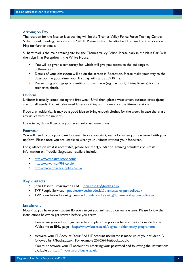#### Arriving on Day 1

The location for the face-to-face training will be the Thames Valley Police Force Training Centre Sulhamstead, Reading, Berkshire RG7 4DX Please look at the attached Training Centre Location Map for further details.

Sulhamstead is the main training site for the Thames Valley Police. Please park in the Main Car Park, then sign in at Reception in the White House.

- You will be given a temporary fob which will give you access to the buildings at Sulhamstead.
- Details of your classroom will be on the screen in Reception. Please make your way to the classroom in good time; your first day will start at 0930 hrs.
- Please bring photographic identification with you (e.g. passport, driving licence) for the trainer to check.

#### Uniform

Uniform is usually issued during the first week. Until then, please wear smart business dress (jeans are not allowed). You will also need fitness clothing and trainers for the fitness sessions.

If you are residential, it may be a good idea to bring enough clothes for the week, in case there are any issues with the uniform.

Upon issue, this will become your standard classroom dress.

#### Footwear

You will need to buy your own footwear before you start, ready for when you are issued with your uniform. Please note you are unable to wear your uniform without your footwear.

For guidance on what is acceptable, please see the 'Foundation Training Standards of Dress' information on Moodle. Suggested retailers include:

- <http://www.patrolstore.com/>
- <http://www.niton999.co.uk/>
- <http://www.police-supplies.co.uk/>

#### Key contacts

- John Nesbitt, Programme Lead john.nesbitt@bucks.ac.uk
- TVP People Services peopleserviceshelpdesk@thamesvalley.pnn.police.uk
- TVP Foundation Learning Team Foundation.Learning@thamesvalley.pnn.police.uk

#### **Enrolment**

Now that you have your student ID you can get yourself set up on our systems. Please follow the instructions below to get started before you arrive.

- 1. Familiarise yourself with guidance to complete the process here as part of our dedicated Welcome to BNU page [-](https://www.bucks.ac.uk/degree-holder-entry-programme) <https://www.bucks.ac.uk/degree-holder-entry-programme>
- 2. Activate your IT Account. Your BNU IT account username is made up of your student ID followed by @bucks.ac.uk. For example 20905674@bucks.ac.uk.

You must activate your IT account by resetting your password and following the instructions available at https://mypassword.bucks.ac.uk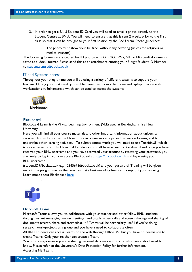- 3. In order to get a BNU Student ID Card you will need to email a photo directly to the Student Centre at BNU. You will need to ensure that this is sent 2 weeks prior to the first class so that it can be brought to your first session by the BNU team. Photo guidelines:
	- The photo must show your full face, without any covering (unless for religious or medical reasons).

The following formats are accepted for ID photos – JPEG, PNG, BMG, GIF or Microsoft documents saved as a .docx. format. Please send this as an attachment quoting your 8 digit Student ID Number to student.centre@bucks.ac.uk

#### IT and Systems access

Throughout your programme you will be using a variety of different systems to support your learning. During your first week you will be issued with a mobile phone and laptop, there are also workstations at Sulhamstead which can be used to access the systems.



#### **Blackboard**

Blackboard Learn is the Virtual Learning Environment (VLE) used at Buckinghamshire New University.

Here you will find all your course materials and other important information about university services. You will also use Blackboard to join online workshops and discussion forums, and to undertake other learning activities. To submit course work you will need to use TurnitinUK which is also accessed from Blackboard. All students and staff have access to Blackboard and once you have received your BNU username and you have activated your account by resetting your password, you are ready to log in. You can access Blackboard at [https://my.bucks.ac.uk](https://my.bucks.ac.uk/) and login using your BNU username

(studentID@bucks.ac.uk e.g. 12345678@bucks.ac.uk) and your password. Training will be given early in the programme, so that you can make best use of its features to support your learning. Learn more about Blackboard here.



#### Microsoft Teams

-

Microsoft Teams allows you to collaborate with your teacher and other fellow BNU students through instant messaging, online meetings (audio calls, video calls and screen sharing) and sharing of documents (create, share and store files). MS Teams will be particularly useful if you're doing research work/projects as a group and you have a need to collaborate often.

All BNU students can access Teams on the web through Office 365 but you have no permission to create Teams. Only your teacher can create a Team.

You must always ensure you are sharing personal data only with those who have a strict need to know. Please refer to the University'[s Data Protection Policy](https://bucks.ac.uk/__data/assets/pdf_file/0026/9548/Data_Protection_Policy.pdf) for further information. Accessing MS Teams: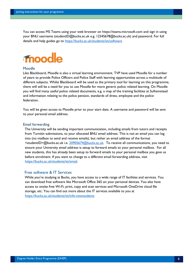You can access MS Teams using your web browser [on https://teams.microsoft.com](https://teams.microsoft.com/) and sign in using your BNU username (studentID@bucks.ac.uk e.g. 12345678@bucks.ac.uk) and password. For full details and help guides go to<https://bucks.ac.uk/students/ist/software>

# moodle

#### Moodle

Like Blackboard, Moodle is also a virtual learning environment. TVP have used Moodle for a number of years to provide Police Officers and Police Staff with learning opportunities across a multitude of different subjects. Whilst Blackboard will be used as the primary tool for learning on this programme, there will still be a need for you to use Moodle for more generic police related learning. On Moodle you will find many useful police related documents, e.g. a map of the training facilities at Sulhamstead and information relating to the police pension, standards of dress, employee and the police federation.

You will be given access to Moodle prior to your start date. A username and password will be sent to your personal email address.

#### Email forwarding

The University will be sending important communication, including emails from tutors and receipts from Turnitin submissions, to your allocated BNU email address. This is not an email you can log into (no mailbox to send and receive emails), but rather an email address of the format <studentID>@bucks.ac.uk i.e. 20905674@bucks.ac.uk. To receive all communications, you need to ensure your University email address is setup to forward emails to your personal mailbox. For all new students, this has already been setup to forward emails to your personal mailbox you gave us before enrolment. If you want to change to a different email forwarding address, vis[it](https://bucks.ac.uk/students/ist/email)  [https://bucks.ac.uk/students/ist/email.](https://bucks.ac.uk/students/ist/email)

#### Free software & IT Services

While you're studying at Bucks, you have access to a wide range of IT facilities and services. You can download free software like Microsoft Office 365 on your personal devices. You also have access to onsite free Wi-Fi, print, copy and scan services and Microsoft OneDrive cloud file storage, etc. You can find out more about the IT services available to you at [https://bucks.ac.uk/students/ist/info-newstudents](https://bucks.ac.uk/students/ist/info-new-students)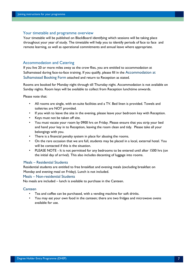#### Your timetable and programme overview

Your timetable will be published on BlackBoard identifying which sessions will be taking place throughout your year of study. The timetable will help you to identify periods of face to face and remote learning, as well as operational commitments and annual leave where appropriate.

#### Accommodation and Catering

If you live 20 or more miles away as the crow flies, you are entitled to accommodation at Sulhamstead during face-to-face training. If you qualify, please fill in the Accommodation at Sulhamstead Booking Form attached and return to Reception as stated.

Rooms are booked for Monday night through till Thursday night. Accommodation is not available on Sunday nights. Room keys will be available to collect from Reception lunchtime onwards.

Please note that:

- All rooms are single, with en-suite facilities and a TV. Bed linen is provided. Towels and toiletries are NOT provided.
- If you wish to leave the site in the evening, please leave your bedroom key with Reception.
- Keys must not be taken off site.
- You must vacate your room by 0900 hrs on Friday. Please ensure that you strip your bed and hand your key in to Reception, leaving the room clean and tidy. Please take all your belongings with you.
- There is a financial penalty system in place for abusing the rooms.
- On the rare occasion that we are full, students may be placed in a local, external hotel. You will be contacted if this is the situation.
- PLEASE NOTE It is not permitted for any bedrooms to be entered until after 1500 hrs (on the initial day of arrival). This also includes decanting of luggage into rooms.

#### Meals – Residential Students

Residential students are entitled to free breakfast and evening meals (excluding breakfast on Monday and evening meal on Friday). Lunch is not included.

#### Meals – Non-residential Students

No meals are included – lunch is available to purchase in the Canteen.

#### **Canteen**

- Tea and coffee can be purchased, with a vending machine for soft drinks.
- You may eat your own food in the canteen; there are two fridges and microwave ovens available for use.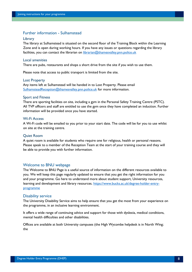#### Further information - Sulhamstead

#### Library

The library at Sulhamstead is situated on the second floor of the Training Block within the Learning Zone and is open during working hours. If you have any issues or questions regarding the library facilities, you can contact the librarian on librarian@thamesvalley.pnn.police.uk

#### Local amenities

There are pubs, restaurants and shops a short drive from the site if you wish to use them.

Please note that access to public transport is limited from the site.

#### Lost Property

Any items left at Sulhamstead will be handed in to Lost Property. Please email SulhamsteadReception@thamesvalley.pnn.police.uk for more information.

#### Sport and Fitness

There are sporting facilities on site, including a gym in the Personal Safety Training Centre (PSTC). All TVP officers and staff are entitled to use the gym once they have completed an induction. Further information will be provided once you have started.

#### Wi-Fi Access

A Wi-Fi code will be emailed to you prior to your start date. The code will be for you to use whilst on site at the training centre.

#### Quiet Room

A quiet room is available for students who require one for religious, health or personal reasons. Please speak to a member of the Reception Team at the start of your training course and they will be able to provide you with further information.

#### Welcome to BNU webpage

The Welcome to BNU Page is a useful source of information on the different resources available to you. We will keep this page regularly updated to ensure that you get the right information for you and your programme. Go here to understand more about student support, University resources, learning and development and library resources. [https://www.bucks.ac.uk/degree-holder-entry](https://www.bucks.ac.uk/degree-holder-entry-programme)[programme](https://www.bucks.ac.uk/degree-holder-entry-programme)

#### Disability service

The University Disability Service aims to help ensure that you get the most from your experience on the programme, in an inclusive learning environment.

It offers a wide range of continuing advice and support for those with dyslexia, medical conditions, mental health difficulties and other disabilities.

Offices are available at both University campuses (the High Wycombe helpdesk is in North Wing; the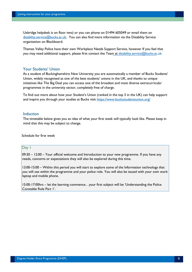Uxbridge helpdesk is on floor two) or you can phone on 01494 605049 or email them on disability.service@bucks.ac.uk. You can also find more information via the Disability Service organisation on Blackboard.

Thames Valley Police have their own Workplace Needs Support Service, however If you feel that you may need additional support, please first contact the Team at disability.service@bucks.ac.uk*.*

#### Your Students' Union

As a student of Buckinghamshire New University you are automatically a member of Bucks Students' Union, widely recognised as one of the best students' unions in the UK, and thanks to unique initiatives like The Big Deal you can access one of the broadest and most diverse extracurricular programmes in the university sector, completely free of charge.

To find out more about how your Student's Union (ranked in the top 3 in the UK) can help support and inspire you through your studies at Bucks visit https://www.bucksstudentsunion.org/

#### Induction

The timetable below gives you an idea of what your first week will typically look like. Please keep in mind that this may be subject to change.

Schedule for first week

#### Day 1

09:30 – 12:00 – Your official welcome and Introduction to your new programme. If you have any needs, concerns or expectations they will also be explored during this time.

13:00-15:00 – Within this period you will start to explore some of the Information technology that you will use within the programme and your police role. You will also be issued with your own work laptop and mobile phone.

15:00-17:00hrs – let the learning commence…your first subject will be 'Understanding the Police Constable Role Part 1'.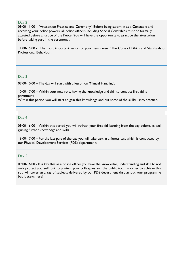#### Day 2

09:00-11:00 - 'Attestation Practice and Ceremony'. Before being sworn in as a Constable and receiving your police powers, all police officers including Special Constables must be formally attested before a Justice of the Peace. You will have the opportunity to practice the attestation before taking part in the ceremony .

11:00-15:00 - The most important lesson of your new career 'The Code of Ethics and Standards of Professional Behaviour'.

#### Day 3

09:00-10:00 – The day will start with a lesson on 'Manual Handling'.

10:00-17:00 – Within your new role, having the knowledge and skill to conduct first aid is paramount!

Within this period you will start to gain this knowledge and put some of the skillsi into practice.

#### Day 4

09:00-16:00 – Within this period you will refresh your first aid learning from the day before, as well gaining further knowledge and skills.

16:00-17:00 – For the last part of the day you will take part in a fitness test which is conducted by our Physical Development Services (PDS) departmen t.

### Day 5

09:00-16:00 - It is key that as a police officer you have the knowledge, understanding and skill to not only protect yourself, but to protect your colleagues and the public too. In order to achieve this you will cover an array of subjects delivered by our PDS department throughout your programme but it starts here!